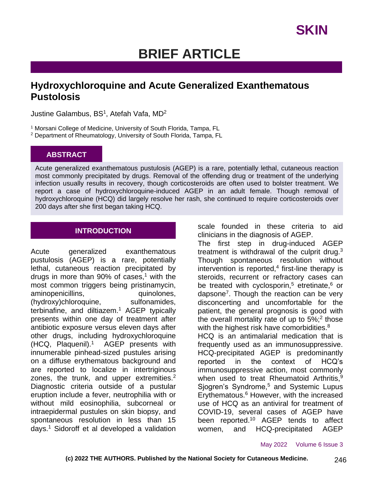# **BRIEF ARTICLE**

### **Hydroxychloroquine and Acute Generalized Exanthematous Pustolosis**

Justine Galambus, BS<sup>1</sup>, Atefah Vafa, MD<sup>2</sup>

<sup>1</sup> Morsani College of Medicine, University of South Florida, Tampa, FL

<sup>2</sup> Department of Rheumatology, University of South Florida, Tampa, FL

#### **ABSTRACT**

Acute generalized exanthematous pustulosis (AGEP) is a rare, potentially lethal, cutaneous reaction most commonly precipitated by drugs. Removal of the offending drug or treatment of the underlying infection usually results in recovery, though corticosteroids are often used to bolster treatment. We report a case of hydroxychloroquine-induced AGEP in an adult female. Though removal of hydroxychloroquine (HCQ) did largely resolve her rash, she continued to require corticosteroids over 200 days after she first began taking HCQ.

### **INTRODUCTION**

Acute generalized exanthematous pustulosis (AGEP) is a rare, potentially lethal, cutaneous reaction precipitated by drugs in more than 90% of cases,<sup>1</sup> with the most common triggers being pristinamycin, aminopenicillins, quinolones, (hydroxy)chloroquine, sulfonamides, terbinafine, and diltiazem.<sup>1</sup> AGEP typically presents within one day of treatment after antibiotic exposure versus eleven days after other drugs, including hydroxychloroquine (HCQ, Plaquenil).<sup>1</sup> AGEP presents with innumerable pinhead-sized pustules arising on a diffuse erythematous background and are reported to localize in intertriginous zones, the trunk, and upper extremities.<sup>2</sup> Diagnostic criteria outside of a pustular eruption include a fever, neutrophilia with or without mild eosinophilia, subcorneal or intraepidermal pustules on skin biopsy, and spontaneous resolution in less than 15 days.<sup>1</sup> Sidoroff et al developed a validation

scale founded in these criteria to aid clinicians in the diagnosis of AGEP.

The first step in drug-induced AGEP treatment is withdrawal of the culprit drug. $3$ Though spontaneous resolution without intervention is reported,<sup>4</sup> first-line therapy is steroids, recurrent or refractory cases can be treated with cyclosporin,<sup>5</sup> etretinate, $6$  or dapsone<sup>7</sup>. Though the reaction can be very disconcerting and uncomfortable for the patient, the general prognosis is good with the overall mortality rate of up to  $5\%$ ;<sup>2</sup> those with the highest risk have comorbidities.<sup>8</sup> HCQ is an antimalarial medication that is frequently used as an immunosuppressive. HCQ-precipitated AGEP is predominantly reported in the context of HCQ's immunosuppressive action, most commonly when used to treat Rheumatoid Arthritis, $9$ Sjogren's Syndrome,<sup>5</sup> and Systemic Lupus Erythematous.<sup>6</sup> However, with the increased use of HCQ as an antiviral for treatment of COVID-19, several cases of AGEP have been reported.<sup>10</sup> AGEP tends to affect women, and HCQ-precipitated AGEP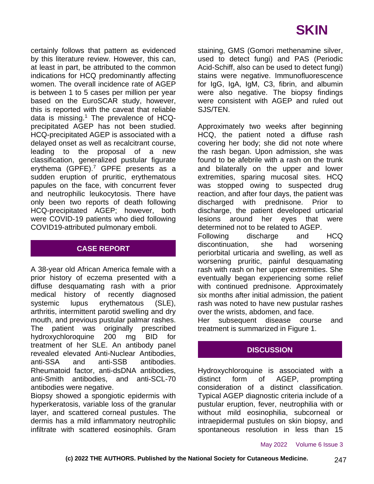certainly follows that pattern as evidenced by this literature review. However, this can, at least in part, be attributed to the common indications for HCQ predominantly affecting women. The overall incidence rate of AGEP is between 1 to 5 cases per million per year based on the EuroSCAR study, however, this is reported with the caveat that reliable data is missing.<sup>1</sup> The prevalence of HCQprecipitated AGEP has not been studied. HCQ-precipitated AGEP is associated with a delayed onset as well as recalcitrant course, leading to the proposal of a new classification, generalized pustular figurate erythema (GPFE).<sup>7</sup> GPFE presents as a sudden eruption of pruritic, erythematous papules on the face, with concurrent fever and neutrophilic leukocytosis. There have only been two reports of death following HCQ-precipitated AGEP; however, both were COVID-19 patients who died following COVID19-attributed pulmonary emboli.

### **CASE REPORT**

A 38-year old African America female with a prior history of eczema presented with a diffuse desquamating rash with a prior medical history of recently diagnosed systemic lupus erythematous (SLE), arthritis, intermittent parotid swelling and dry mouth, and previous pustular palmar rashes. The patient was originally prescribed hydroxychloroquine 200 mg BID for treatment of her SLE. An antibody panel revealed elevated Anti-Nuclear Antibodies, anti-SSA and anti-SSB antibodies. Rheumatoid factor, anti-dsDNA antibodies, anti-Smith antibodies, and anti-SCL-70 antibodies were negative.

Biopsy showed a spongiotic epidermis with hyperkeratosis, variable loss of the granular layer, and scattered corneal pustules. The dermis has a mild inflammatory neutrophilic infiltrate with scattered eosinophils. Gram staining, GMS (Gomori methenamine silver, used to detect fungi) and PAS (Periodic Acid-Schiff, also can be used to detect fungi) stains were negative. Immunofluorescence for IgG, IgA, IgM, C3, fibrin, and albumin were also negative. The biopsy findings were consistent with AGEP and ruled out SJS/TEN.

Approximately two weeks after beginning HCQ, the patient noted a diffuse rash covering her body; she did not note where the rash began. Upon admission, she was found to be afebrile with a rash on the trunk and bilaterally on the upper and lower extremities, sparing mucosal sites. HCQ was stopped owing to suspected drug reaction, and after four days, the patient was discharged with prednisone. Prior to discharge, the patient developed urticarial lesions around her eyes that were determined not to be related to AGEP.

Following discharge and HCQ discontinuation, she had worsening periorbital urticaria and swelling, as well as worsening pruritic, painful desquamating rash with rash on her upper extremities. She eventually began experiencing some relief with continued prednisone. Approximately six months after initial admission, the patient rash was noted to have new pustular rashes over the wrists, abdomen, and face.

Her subsequent disease course and treatment is summarized in Figure 1.

### **DISCUSSION**

Hydroxychloroquine is associated with a distinct form of AGEP, prompting consideration of a distinct classification. Typical AGEP diagnostic criteria include of a pustular eruption, fever, neutrophilia with or without mild eosinophilia, subcorneal or intraepidermal pustules on skin biopsy, and spontaneous resolution in less than 15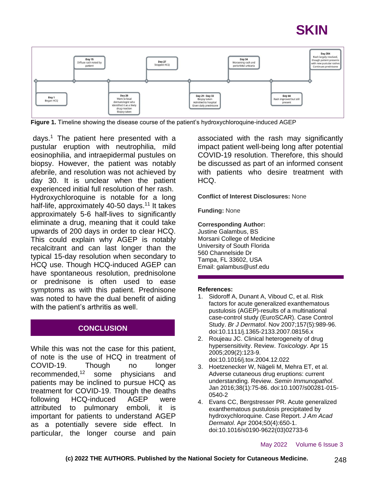# **SKIN**



**Figure 1.** Timeline showing the disease course of the patient's hydroxychloroquine-induced AGEP

days.<sup>1</sup> The patient here presented with a pustular eruption with neutrophilia, mild eosinophilia, and intraepidermal pustules on biopsy. However, the patient was notably afebrile, and resolution was not achieved by day 30. It is unclear when the patient experienced initial full resolution of her rash. Hydroxychloroquine is notable for a long half-life, approximately 40-50 days.<sup>11</sup> It takes approximately 5-6 half-lives to significantly eliminate a drug, meaning that it could take upwards of 200 days in order to clear HCQ. This could explain why AGEP is notably recalcitrant and can last longer than the typical 15-day resolution when secondary to HCQ use. Though HCQ-induced AGEP can have spontaneous resolution, prednisolone or prednisone is often used to ease symptoms as with this patient. Prednisone was noted to have the dual benefit of aiding with the patient's arthritis as well.

### **CONCLUSION**

While this was not the case for this patient, of note is the use of HCQ in treatment of COVID-19. Though no longer recommended,<sup>12</sup> some physicians and patients may be inclined to pursue HCQ as treatment for COVID-19. Though the deaths following HCQ-induced AGEP were attributed to pulmonary emboli, it is important for patients to understand AGEP as a potentially severe side effect. In particular, the longer course and pain

associated with the rash may significantly impact patient well-being long after potential COVID-19 resolution. Therefore, this should be discussed as part of an informed consent with patients who desire treatment with HCQ.

**Conflict of Interest Disclosures:** None

**Funding:** None

#### **Corresponding Author:**

Justine Galambus, BS Morsani College of Medicine University of South Florida 560 Channelside Dr Tampa, FL 33602, USA Email: galambus@usf.edu

#### **References:**

- 1. Sidoroff A, Dunant A, Viboud C, et al. Risk factors for acute generalized exanthematous pustulosis (AGEP)-results of a multinational case-control study (EuroSCAR). Case Control Study. *Br J Dermatol*. Nov 2007;157(5):989-96. doi:10.1111/j.1365-2133.2007.08156.x
- 2. Roujeau JC. Clinical heterogeneity of drug hypersensitivity. Review. *Toxicology*. Apr 15 2005;209(2):123-9. doi:10.1016/j.tox.2004.12.022
- 3. Hoetzenecker W, Nägeli M, Mehra ET, et al. Adverse cutaneous drug eruptions: current understanding. Review. *Semin Immunopathol*. Jan 2016;38(1):75-86. doi:10.1007/s00281-015- 0540-2
- 4. Evans CC, Bergstresser PR. Acute generalized exanthematous pustulosis precipitated by hydroxychloroquine. Case Report. *J Am Acad Dermatol*. Apr 2004;50(4):650-1. doi:10.1016/s0190-9622(03)02733-6

May 2022 Volume 6 Issue 3